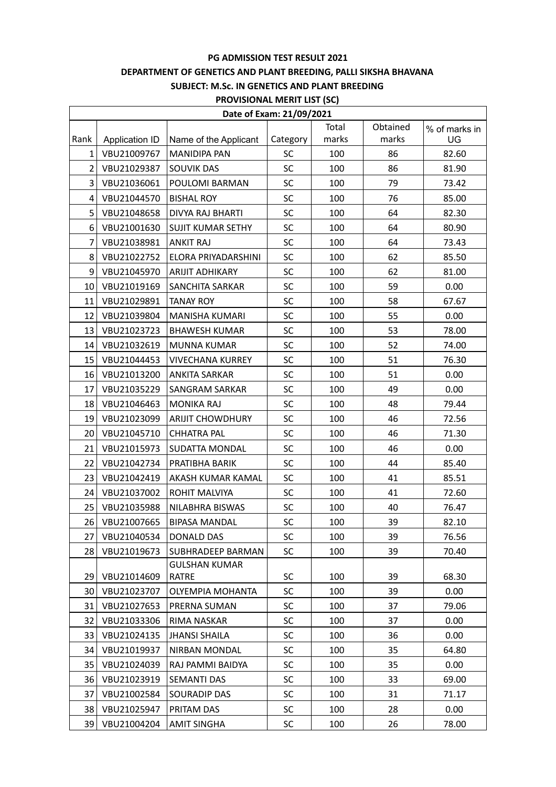#### **PG ADMISSION TEST RESULT 2021**

### **DEPARTMENT OF GENETICS AND PLANT BREEDING, PALLI SIKSHA BHAVANA**

### **SUBJECT: M.Sc. IN GENETICS AND PLANT BREEDING**

| <b>PROVISIONAL MERIT LIST (SC</b> |  |  |
|-----------------------------------|--|--|
|-----------------------------------|--|--|

| <b>PROVISIONAL MERIT LIST (SC)</b> |                       |                          |           |       |          |               |  |  |  |
|------------------------------------|-----------------------|--------------------------|-----------|-------|----------|---------------|--|--|--|
| Date of Exam: 21/09/2021           |                       |                          |           |       |          |               |  |  |  |
|                                    |                       |                          |           | Total | Obtained | % of marks in |  |  |  |
| Rank                               | <b>Application ID</b> | Name of the Applicant    | Category  | marks | marks    | UG            |  |  |  |
| 1                                  | VBU21009767           | <b>MANIDIPA PAN</b>      | SC        | 100   | 86       | 82.60         |  |  |  |
| $\overline{2}$                     | VBU21029387           | <b>SOUVIK DAS</b>        | SC        | 100   | 86       | 81.90         |  |  |  |
| 3                                  | VBU21036061           | POULOMI BARMAN           | <b>SC</b> | 100   | 79       | 73.42         |  |  |  |
| 4                                  | VBU21044570           | <b>BISHAL ROY</b>        | SC        | 100   | 76       | 85.00         |  |  |  |
| 5                                  | VBU21048658           | <b>DIVYA RAJ BHARTI</b>  | SC        | 100   | 64       | 82.30         |  |  |  |
| 6                                  | VBU21001630           | <b>SUJIT KUMAR SETHY</b> | <b>SC</b> | 100   | 64       | 80.90         |  |  |  |
| $\overline{7}$                     | VBU21038981           | <b>ANKIT RAJ</b>         | SC        | 100   | 64       | 73.43         |  |  |  |
| 8                                  | VBU21022752           | ELORA PRIYADARSHINI      | <b>SC</b> | 100   | 62       | 85.50         |  |  |  |
| 9                                  | VBU21045970           | <b>ARIJIT ADHIKARY</b>   | SC        | 100   | 62       | 81.00         |  |  |  |
| 10                                 | VBU21019169           | SANCHITA SARKAR          | SC        | 100   | 59       | 0.00          |  |  |  |
| 11                                 | VBU21029891           | <b>TANAY ROY</b>         | SC        | 100   | 58       | 67.67         |  |  |  |
| 12                                 | VBU21039804           | <b>MANISHA KUMARI</b>    | SC        | 100   | 55       | 0.00          |  |  |  |
| 13                                 | VBU21023723           | <b>BHAWESH KUMAR</b>     | SC        | 100   | 53       | 78.00         |  |  |  |
| 14                                 | VBU21032619           | <b>MUNNA KUMAR</b>       | <b>SC</b> | 100   | 52       | 74.00         |  |  |  |
| 15                                 | VBU21044453           | <b>VIVECHANA KURREY</b>  | SC        | 100   | 51       | 76.30         |  |  |  |
| 16                                 | VBU21013200           | <b>ANKITA SARKAR</b>     | <b>SC</b> | 100   | 51       | 0.00          |  |  |  |
| 17                                 | VBU21035229           | <b>SANGRAM SARKAR</b>    | SC        | 100   | 49       | 0.00          |  |  |  |
| 18                                 | VBU21046463           | <b>MONIKA RAJ</b>        | SC        | 100   | 48       | 79.44         |  |  |  |
| 19                                 | VBU21023099           | <b>ARIJIT CHOWDHURY</b>  | SC        | 100   | 46       | 72.56         |  |  |  |
| 20                                 | VBU21045710           | <b>CHHATRA PAL</b>       | SC        | 100   | 46       | 71.30         |  |  |  |
| 21                                 | VBU21015973           | SUDATTA MONDAL           | <b>SC</b> | 100   | 46       | 0.00          |  |  |  |
| 22                                 | VBU21042734           | PRATIBHA BARIK           | <b>SC</b> | 100   | 44       | 85.40         |  |  |  |
| 23                                 | VBU21042419           | AKASH KUMAR KAMAL        | SC        | 100   | 41       | 85.51         |  |  |  |
| 24                                 | VBU21037002           | ROHIT MALVIYA            | SC        | 100   | 41       | 72.60         |  |  |  |
| 25                                 | VBU21035988           | NILABHRA BISWAS          | SC        | 100   | 40       | 76.47         |  |  |  |
| 26                                 | VBU21007665           | <b>BIPASA MANDAL</b>     | <b>SC</b> | 100   | 39       | 82.10         |  |  |  |
| 27                                 | VBU21040534           | DONALD DAS               | SC        | 100   | 39       | 76.56         |  |  |  |
| 28                                 | VBU21019673           | SUBHRADEEP BARMAN        | <b>SC</b> | 100   | 39       | 70.40         |  |  |  |
|                                    |                       | <b>GULSHAN KUMAR</b>     |           |       |          |               |  |  |  |
| 29                                 | VBU21014609           | RATRE                    | SC        | 100   | 39       | 68.30         |  |  |  |
| 30                                 | VBU21023707           | <b>OLYEMPIA MOHANTA</b>  | SC        | 100   | 39       | 0.00          |  |  |  |
| 31                                 | VBU21027653           | PRERNA SUMAN             | <b>SC</b> | 100   | 37       | 79.06         |  |  |  |
| 32                                 | VBU21033306           | RIMA NASKAR              | SC        | 100   | 37       | 0.00          |  |  |  |
| 33                                 | VBU21024135           | <b>JHANSI SHAILA</b>     | SC        | 100   | 36       | 0.00          |  |  |  |
| 34                                 | VBU21019937           | NIRBAN MONDAL            | <b>SC</b> | 100   | 35       | 64.80         |  |  |  |
| 35                                 | VBU21024039           | RAJ PAMMI BAIDYA         | <b>SC</b> | 100   | 35       | 0.00          |  |  |  |
| 36                                 | VBU21023919           | <b>SEMANTI DAS</b>       | SC        | 100   | 33       | 69.00         |  |  |  |
| 37                                 | VBU21002584           | SOURADIP DAS             | SC        | 100   | 31       | 71.17         |  |  |  |
| 38                                 | VBU21025947           | PRITAM DAS               | SC        | 100   | 28       | 0.00          |  |  |  |
| 39                                 | VBU21004204           | <b>AMIT SINGHA</b>       | SC        | 100   | 26       | 78.00         |  |  |  |